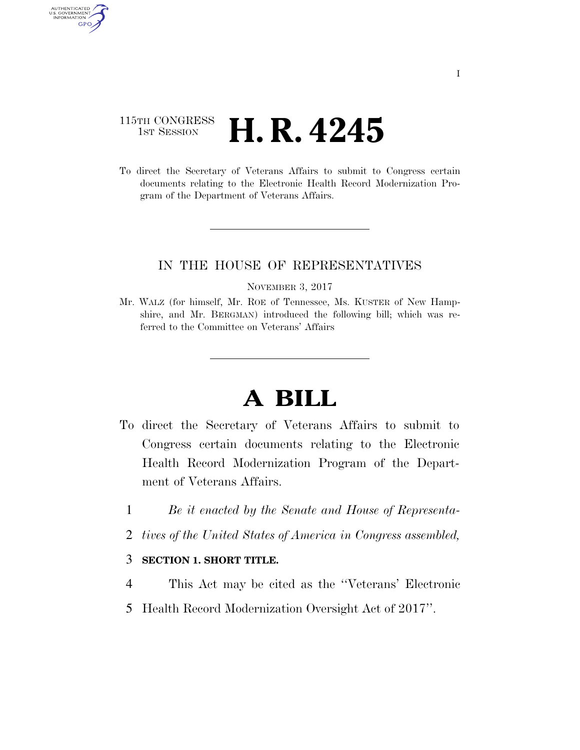## 115TH CONGRESS **HE CONGRESS H. R. 4245**

AUTHENTICATED U.S. GOVERNMENT GPO

> To direct the Secretary of Veterans Affairs to submit to Congress certain documents relating to the Electronic Health Record Modernization Program of the Department of Veterans Affairs.

## IN THE HOUSE OF REPRESENTATIVES

NOVEMBER 3, 2017

Mr. WALZ (for himself, Mr. ROE of Tennessee, Ms. KUSTER of New Hampshire, and Mr. BERGMAN) introduced the following bill; which was referred to the Committee on Veterans' Affairs

## **A BILL**

- To direct the Secretary of Veterans Affairs to submit to Congress certain documents relating to the Electronic Health Record Modernization Program of the Department of Veterans Affairs.
	- 1 *Be it enacted by the Senate and House of Representa-*
	- 2 *tives of the United States of America in Congress assembled,*

## 3 **SECTION 1. SHORT TITLE.**

- 4 This Act may be cited as the ''Veterans' Electronic
- 5 Health Record Modernization Oversight Act of 2017''.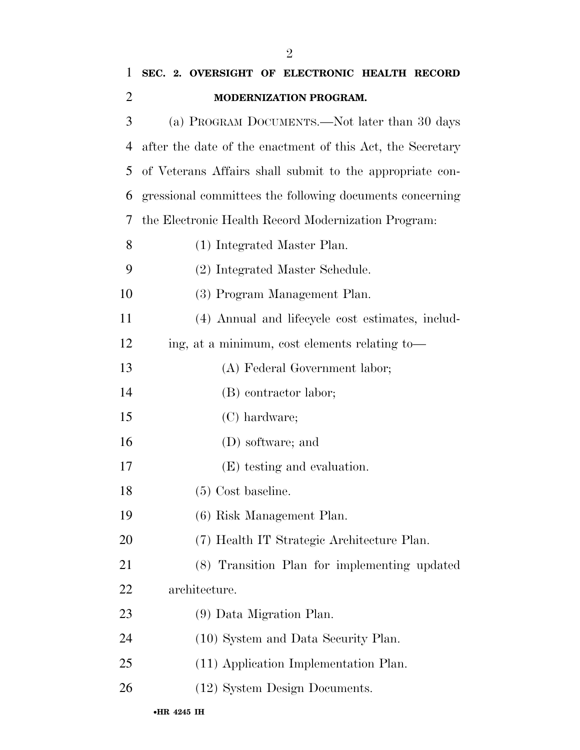| $\mathbf{1}$   | SEC. 2. OVERSIGHT OF ELECTRONIC HEALTH RECORD              |
|----------------|------------------------------------------------------------|
| $\overline{2}$ | MODERNIZATION PROGRAM.                                     |
| 3              | (a) PROGRAM DOCUMENTS.—Not later than 30 days              |
| 4              | after the date of the enactment of this Act, the Secretary |
| 5              | of Veterans Affairs shall submit to the appropriate con-   |
| 6              | gressional committees the following documents concerning   |
| 7              | the Electronic Health Record Modernization Program:        |
| 8              | (1) Integrated Master Plan.                                |
| 9              | (2) Integrated Master Schedule.                            |
| 10             | (3) Program Management Plan.                               |
| 11             | (4) Annual and lifecycle cost estimates, includ-           |
| 12             | ing, at a minimum, cost elements relating to—              |
| 13             | (A) Federal Government labor;                              |
| 14             | (B) contractor labor;                                      |
| 15             | (C) hardware;                                              |
| 16             | (D) software; and                                          |
| 17             | (E) testing and evaluation.                                |
| 18             | $(5)$ Cost baseline.                                       |
| 19             | (6) Risk Management Plan.                                  |
| 20             | (7) Health IT Strategic Architecture Plan.                 |
| 21             | (8) Transition Plan for implementing updated               |
| 22             | architecture.                                              |
| 23             | (9) Data Migration Plan.                                   |
| 24             | (10) System and Data Security Plan.                        |
| 25             | (11) Application Implementation Plan.                      |
| 26             | (12) System Design Documents.                              |
|                |                                                            |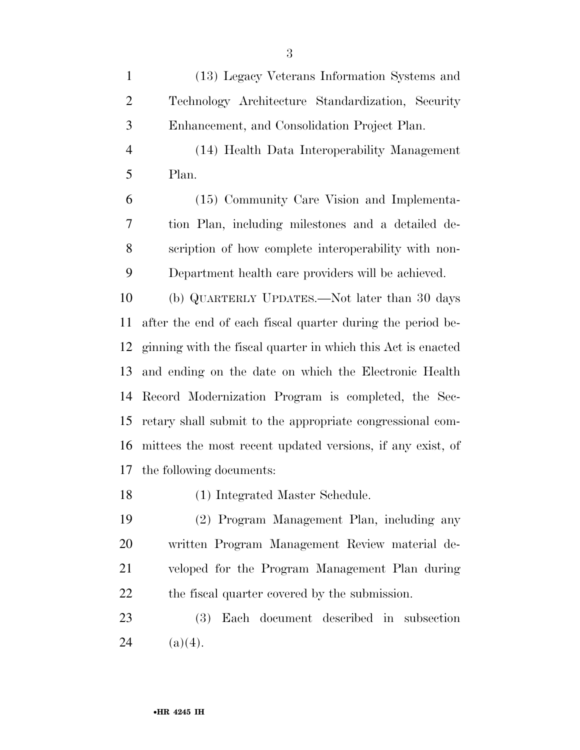(13) Legacy Veterans Information Systems and Technology Architecture Standardization, Security Enhancement, and Consolidation Project Plan.

 (14) Health Data Interoperability Management Plan.

 (15) Community Care Vision and Implementa- tion Plan, including milestones and a detailed de- scription of how complete interoperability with non-Department health care providers will be achieved.

 (b) QUARTERLY UPDATES.—Not later than 30 days after the end of each fiscal quarter during the period be- ginning with the fiscal quarter in which this Act is enacted and ending on the date on which the Electronic Health Record Modernization Program is completed, the Sec- retary shall submit to the appropriate congressional com- mittees the most recent updated versions, if any exist, of the following documents:

(1) Integrated Master Schedule.

 (2) Program Management Plan, including any written Program Management Review material de- veloped for the Program Management Plan during the fiscal quarter covered by the submission.

 (3) Each document described in subsection 24 (a)(4).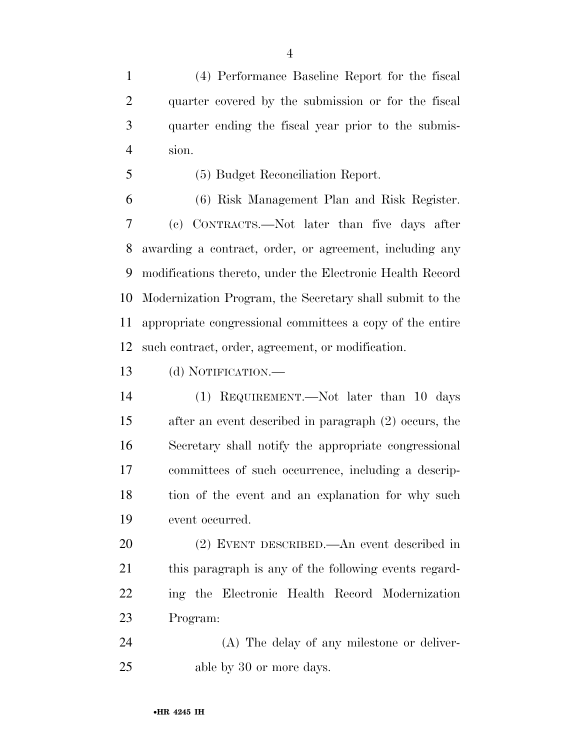(4) Performance Baseline Report for the fiscal quarter covered by the submission or for the fiscal quarter ending the fiscal year prior to the submis-sion.

(5) Budget Reconciliation Report.

 (6) Risk Management Plan and Risk Register. (c) CONTRACTS.—Not later than five days after awarding a contract, order, or agreement, including any modifications thereto, under the Electronic Health Record Modernization Program, the Secretary shall submit to the appropriate congressional committees a copy of the entire such contract, order, agreement, or modification.

(d) NOTIFICATION.—

 (1) REQUIREMENT.—Not later than 10 days after an event described in paragraph (2) occurs, the Secretary shall notify the appropriate congressional committees of such occurrence, including a descrip-18 tion of the event and an explanation for why such event occurred.

 (2) EVENT DESCRIBED.—An event described in 21 this paragraph is any of the following events regard- ing the Electronic Health Record Modernization Program:

 (A) The delay of any milestone or deliver-25 able by 30 or more days.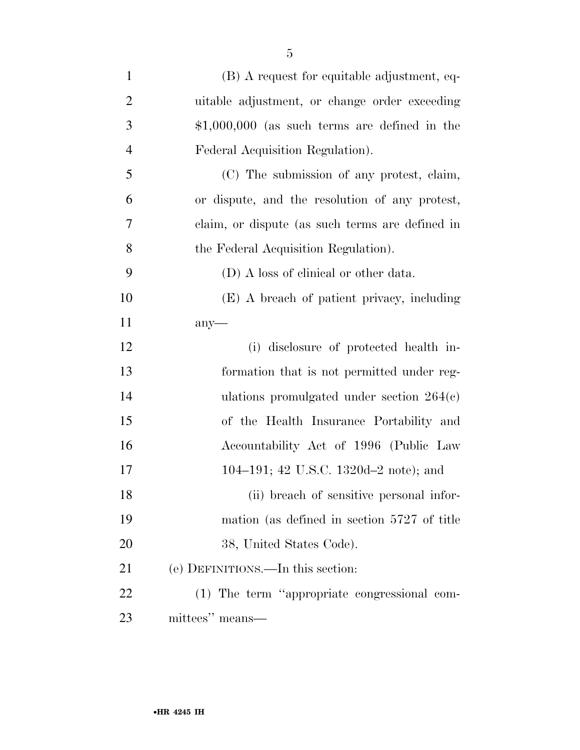| $\mathbf{1}$   | (B) A request for equitable adjustment, eq-     |
|----------------|-------------------------------------------------|
| $\overline{2}$ | uitable adjustment, or change order exceeding   |
| 3              | $$1,000,000$ (as such terms are defined in the  |
| $\overline{4}$ | Federal Acquisition Regulation).                |
| 5              | (C) The submission of any protest, claim,       |
| 6              | or dispute, and the resolution of any protest,  |
| 7              | claim, or dispute (as such terms are defined in |
| 8              | the Federal Acquisition Regulation).            |
| 9              | (D) A loss of clinical or other data.           |
| 10             | (E) A breach of patient privacy, including      |
| 11             | any                                             |
| 12             | (i) disclosure of protected health in-          |
| 13             | formation that is not permitted under reg-      |
| 14             | ulations promulgated under section $264(c)$     |
| 15             | of the Health Insurance Portability and         |
| 16             | Accountability Act of 1996 (Public Law          |
| 17             | 104–191; 42 U.S.C. 1320d–2 note); and           |
| 18             | (ii) breach of sensitive personal infor-        |
| 19             | mation (as defined in section 5727 of title     |
| 20             | 38, United States Code).                        |
| 21             | (e) DEFINITIONS.—In this section:               |
| 22             | (1) The term "appropriate congressional com-    |
| 23             | mittees" means—                                 |